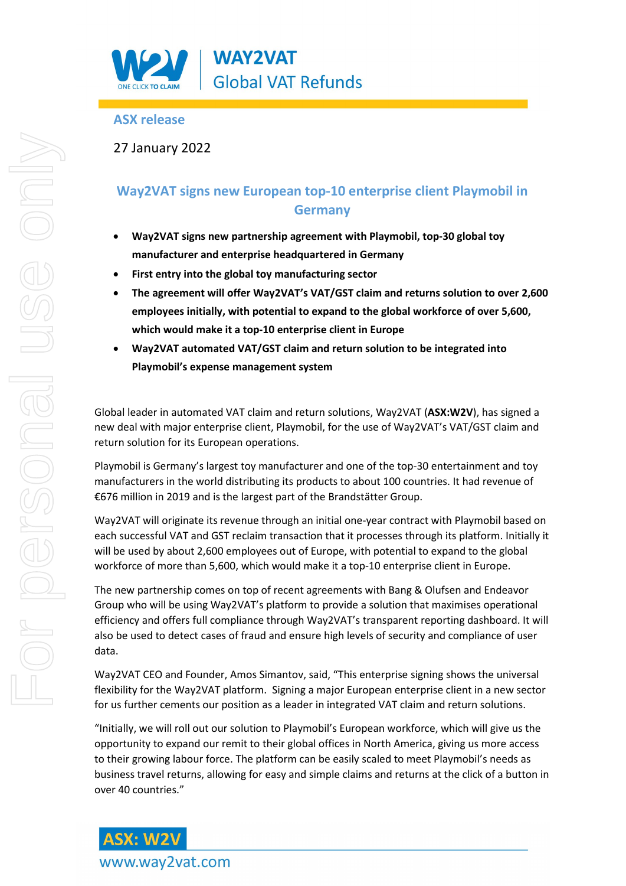

## **ASX release**

27 January 2022

# **Way2VAT signs new European top-10 enterprise client Playmobil in Germany**

- **Way2VAT signs new partnership agreement with Playmobil, top-30 global toy manufacturer and enterprise headquartered in Germany**
- **First entry into the global toy manufacturing sector**
- **The agreement will offer Way2VAT's VAT/GST claim and returns solution to over 2,600 employees initially, with potential to expand to the global workforce of over 5,600, which would make it a top-10 enterprise client in Europe**
- **Way2VAT automated VAT/GST claim and return solution to be integrated into Playmobil's expense management system**

Global leader in automated VAT claim and return solutions, Way2VAT (**ASX:W2V**), has signed a new deal with major enterprise client, Playmobil, for the use of Way2VAT's VAT/GST claim and return solution for its European operations.

Playmobil is Germany's largest toy manufacturer and one of the top-30 entertainment and toy manufacturers in the world distributing its products to about 100 countries. It had revenue of €676 million in 2019 and is the largest part of the Brandstätter Group.

Way2VAT will originate its revenue through an initial one-year contract with Playmobil based on each successful VAT and GST reclaim transaction that it processes through its platform. Initially it will be used by about 2,600 employees out of Europe, with potential to expand to the global workforce of more than 5,600, which would make it a top-10 enterprise client in Europe.

The new partnership comes on top of recent agreements with Bang & Olufsen and Endeavor Group who will be using Way2VAT's platform to provide a solution that maximises operational efficiency and offers full compliance through Way2VAT's transparent reporting dashboard. It will also be used to detect cases of fraud and ensure high levels of security and compliance of user data.

Way2VAT CEO and Founder, Amos Simantov, said, "This enterprise signing shows the universal flexibility for the Way2VAT platform. Signing a major European enterprise client in a new sector for us further cements our position as a leader in integrated VAT claim and return solutions.

"Initially, we will roll out our solution to Playmobil's European workforce, which will give us the opportunity to expand our remit to their global offices in North America, giving us more access to their growing labour force. The platform can be easily scaled to meet Playmobil's needs as business travel returns, allowing for easy and simple claims and returns at the click of a button in over 40 countries."